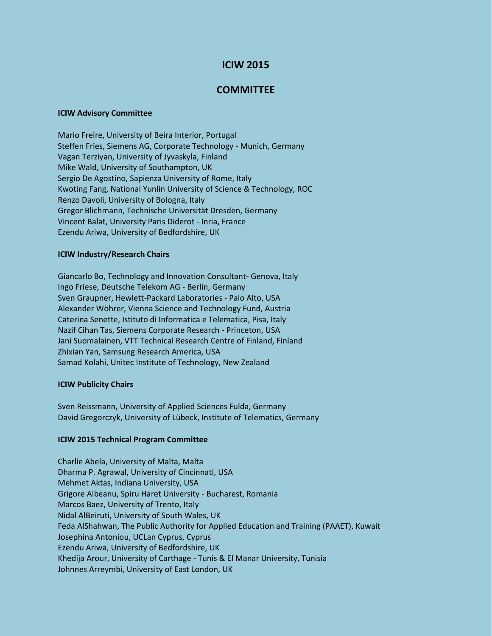# **ICIW 2015**

## **COMMITTEE**

#### **ICIW Advisory Committee**

Mario Freire, University of Beira Interior, Portugal Steffen Fries, Siemens AG, Corporate Technology - Munich, Germany Vagan Terziyan, University of Jyvaskyla, Finland Mike Wald, University of Southampton, UK Sergio De Agostino, Sapienza University of Rome, Italy Kwoting Fang, National Yunlin University of Science & Technology, ROC Renzo Davoli, University of Bologna, Italy Gregor Blichmann, Technische Universität Dresden, Germany Vincent Balat, University Paris Diderot - Inria, France Ezendu Ariwa, University of Bedfordshire, UK

### **ICIW Industry/Research Chairs**

Giancarlo Bo, Technology and Innovation Consultant- Genova, Italy Ingo Friese, Deutsche Telekom AG - Berlin, Germany Sven Graupner, Hewlett-Packard Laboratories - Palo Alto, USA Alexander Wöhrer, Vienna Science and Technology Fund, Austria Caterina Senette, Istituto di Informatica e Telematica, Pisa, Italy Nazif Cihan Tas, Siemens Corporate Research - Princeton, USA Jani Suomalainen, VTT Technical Research Centre of Finland, Finland Zhixian Yan, Samsung Research America, USA Samad Kolahi, Unitec Institute of Technology, New Zealand

## **ICIW Publicity Chairs**

Sven Reissmann, University of Applied Sciences Fulda, Germany David Gregorczyk, University of Lübeck, Institute of Telematics, Germany

## **ICIW 2015 Technical Program Committee**

Charlie Abela, University of Malta, Malta Dharma P. Agrawal, University of Cincinnati, USA Mehmet Aktas, Indiana University, USA Grigore Albeanu, Spiru Haret University - Bucharest, Romania Marcos Baez, University of Trento, Italy Nidal AlBeiruti, University of South Wales, UK Feda AlShahwan, The Public Authority for Applied Education and Training (PAAET), Kuwait Josephina Antoniou, UCLan Cyprus, Cyprus Ezendu Ariwa, University of Bedfordshire, UK Khedija Arour, University of Carthage - Tunis & El Manar University, Tunisia Johnnes Arreymbi, University of East London, UK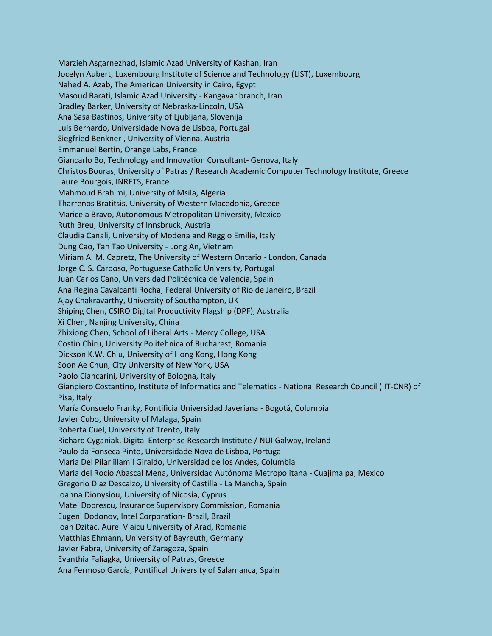Marzieh Asgarnezhad, Islamic Azad University of Kashan, Iran Jocelyn Aubert, Luxembourg Institute of Science and Technology (LIST), Luxembourg Nahed A. Azab, The American University in Cairo, Egypt Masoud Barati, Islamic Azad University - Kangavar branch, Iran Bradley Barker, University of Nebraska-Lincoln, USA Ana Sasa Bastinos, University of Ljubljana, Slovenija Luis Bernardo, Universidade Nova de Lisboa, Portugal Siegfried Benkner , University of Vienna, Austria Emmanuel Bertin, Orange Labs, France Giancarlo Bo, Technology and Innovation Consultant- Genova, Italy Christos Bouras, University of Patras / Research Academic Computer Technology Institute, Greece Laure Bourgois, INRETS, France Mahmoud Brahimi, University of Msila, Algeria Tharrenos Bratitsis, University of Western Macedonia, Greece Maricela Bravo, Autonomous Metropolitan University, Mexico Ruth Breu, University of Innsbruck, Austria Claudia Canali, University of Modena and Reggio Emilia, Italy Dung Cao, Tan Tao University - Long An, Vietnam Miriam A. M. Capretz, The University of Western Ontario - London, Canada Jorge C. S. Cardoso, Portuguese Catholic University, Portugal Juan Carlos Cano, Universidad Politécnica de Valencia, Spain Ana Regina Cavalcanti Rocha, Federal University of Rio de Janeiro, Brazil Ajay Chakravarthy, University of Southampton, UK Shiping Chen, CSIRO Digital Productivity Flagship (DPF), Australia Xi Chen, Nanjing University, China Zhixiong Chen, School of Liberal Arts - Mercy College, USA Costin Chiru, University Politehnica of Bucharest, Romania Dickson K.W. Chiu, University of Hong Kong, Hong Kong Soon Ae Chun, City University of New York, USA Paolo Ciancarini, University of Bologna, Italy Gianpiero Costantino, Institute of Informatics and Telematics - National Research Council (IIT-CNR) of Pisa, Italy María Consuelo Franky, Pontificia Universidad Javeriana - Bogotá, Columbia Javier Cubo, University of Malaga, Spain Roberta Cuel, University of Trento, Italy Richard Cyganiak, Digital Enterprise Research Institute / NUI Galway, Ireland Paulo da Fonseca Pinto, Universidade Nova de Lisboa, Portugal Maria Del Pilar illamil Giraldo, Universidad de los Andes, Columbia Maria del Rocío Abascal Mena, Universidad Autónoma Metropolitana - Cuajimalpa, Mexico Gregorio Diaz Descalzo, University of Castilla - La Mancha, Spain Ioanna Dionysiou, University of Nicosia, Cyprus Matei Dobrescu, Insurance Supervisory Commission, Romania Eugeni Dodonov, Intel Corporation- Brazil, Brazil Ioan Dzitac, Aurel Vlaicu University of Arad, Romania Matthias Ehmann, University of Bayreuth, Germany Javier Fabra, University of Zaragoza, Spain Evanthia Faliagka, University of Patras, Greece Ana Fermoso García, Pontifical University of Salamanca, Spain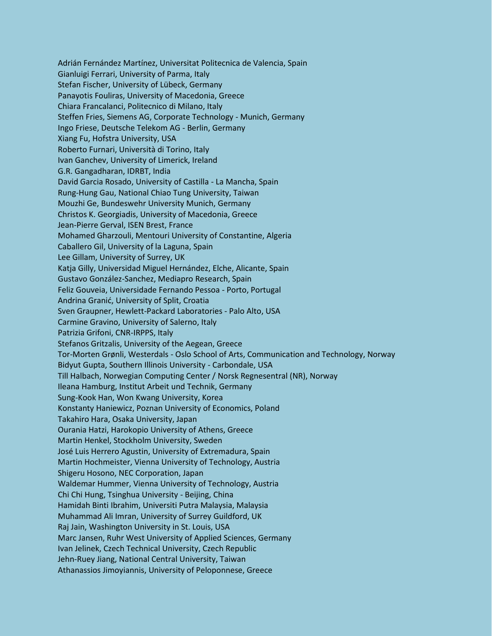Adrián Fernández Martínez, Universitat Politecnica de Valencia, Spain Gianluigi Ferrari, University of Parma, Italy Stefan Fischer, University of Lübeck, Germany Panayotis Fouliras, University of Macedonia, Greece Chiara Francalanci, Politecnico di Milano, Italy Steffen Fries, Siemens AG, Corporate Technology - Munich, Germany Ingo Friese, Deutsche Telekom AG - Berlin, Germany Xiang Fu, Hofstra University, USA Roberto Furnari, Università di Torino, Italy Ivan Ganchev, University of Limerick, Ireland G.R. Gangadharan, IDRBT, India David Garcia Rosado, University of Castilla - La Mancha, Spain Rung-Hung Gau, National Chiao Tung University, Taiwan Mouzhi Ge, Bundeswehr University Munich, Germany Christos K. Georgiadis, University of Macedonia, Greece Jean-Pierre Gerval, ISEN Brest, France Mohamed Gharzouli, Mentouri University of Constantine, Algeria Caballero Gil, University of la Laguna, Spain Lee Gillam, University of Surrey, UK Katja Gilly, Universidad Miguel Hernández, Elche, Alicante, Spain Gustavo González-Sanchez, Mediapro Research, Spain Feliz Gouveia, Universidade Fernando Pessoa - Porto, Portugal Andrina Granić, University of Split, Croatia Sven Graupner, Hewlett-Packard Laboratories - Palo Alto, USA Carmine Gravino, University of Salerno, Italy Patrizia Grifoni, CNR-IRPPS, Italy Stefanos Gritzalis, University of the Aegean, Greece Tor-Morten Grønli, Westerdals - Oslo School of Arts, Communication and Technology, Norway Bidyut Gupta, Southern Illinois University - Carbondale, USA Till Halbach, Norwegian Computing Center / Norsk Regnesentral (NR), Norway Ileana Hamburg, Institut Arbeit und Technik, Germany Sung-Kook Han, Won Kwang University, Korea Konstanty Haniewicz, Poznan University of Economics, Poland Takahiro Hara, Osaka University, Japan Ourania Hatzi, Harokopio University of Athens, Greece Martin Henkel, Stockholm University, Sweden José Luis Herrero Agustin, University of Extremadura, Spain Martin Hochmeister, Vienna University of Technology, Austria Shigeru Hosono, NEC Corporation, Japan Waldemar Hummer, Vienna University of Technology, Austria Chi Chi Hung, Tsinghua University - Beijing, China Hamidah Binti Ibrahim, Universiti Putra Malaysia, Malaysia Muhammad Ali Imran, University of Surrey Guildford, UK Raj Jain, Washington University in St. Louis, USA Marc Jansen, Ruhr West University of Applied Sciences, Germany Ivan Jelinek, Czech Technical University, Czech Republic Jehn-Ruey Jiang, National Central University, Taiwan Athanassios Jimoyiannis, University of Peloponnese, Greece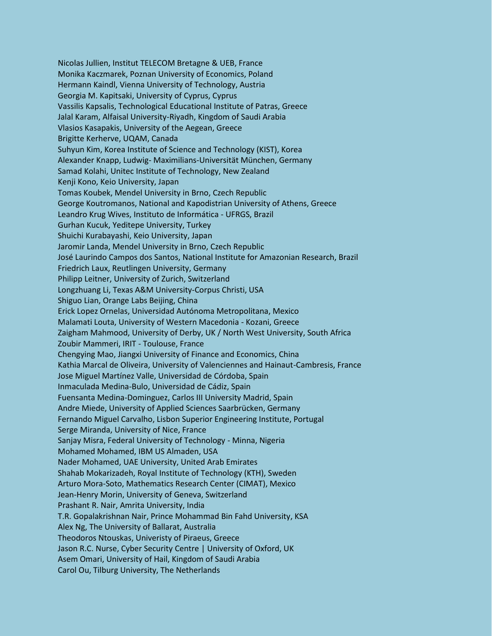Nicolas Jullien, Institut TELECOM Bretagne & UEB, France Monika Kaczmarek, Poznan University of Economics, Poland Hermann Kaindl, Vienna University of Technology, Austria Georgia M. Kapitsaki, University of Cyprus, Cyprus Vassilis Kapsalis, Technological Educational Institute of Patras, Greece Jalal Karam, Alfaisal University-Riyadh, Kingdom of Saudi Arabia Vlasios Kasapakis, University of the Aegean, Greece Brigitte Kerherve, UQAM, Canada Suhyun Kim, Korea Institute of Science and Technology (KIST), Korea Alexander Knapp, Ludwig- Maximilians-Universität München, Germany Samad Kolahi, Unitec Institute of Technology, New Zealand Kenji Kono, Keio University, Japan Tomas Koubek, Mendel University in Brno, Czech Republic George Koutromanos, National and Kapodistrian University of Athens, Greece Leandro Krug Wives, Instituto de Informática - UFRGS, Brazil Gurhan Kucuk, Yeditepe University, Turkey Shuichi Kurabayashi, Keio University, Japan Jaromir Landa, Mendel University in Brno, Czech Republic José Laurindo Campos dos Santos, National Institute for Amazonian Research, Brazil Friedrich Laux, Reutlingen University, Germany Philipp Leitner, University of Zurich, Switzerland Longzhuang Li, Texas A&M University-Corpus Christi, USA Shiguo Lian, Orange Labs Beijing, China Erick Lopez Ornelas, Universidad Autónoma Metropolitana, Mexico Malamati Louta, University of Western Macedonia - Kozani, Greece Zaigham Mahmood, University of Derby, UK / North West University, South Africa Zoubir Mammeri, IRIT - Toulouse, France Chengying Mao, Jiangxi University of Finance and Economics, China Kathia Marcal de Oliveira, University of Valenciennes and Hainaut-Cambresis, France Jose Miguel Martínez Valle, Universidad de Córdoba, Spain Inmaculada Medina-Bulo, Universidad de Cádiz, Spain Fuensanta Medina-Dominguez, Carlos III University Madrid, Spain Andre Miede, University of Applied Sciences Saarbrücken, Germany Fernando Miguel Carvalho, Lisbon Superior Engineering Institute, Portugal Serge Miranda, University of Nice, France Sanjay Misra, Federal University of Technology - Minna, Nigeria Mohamed Mohamed, IBM US Almaden, USA Nader Mohamed, UAE University, United Arab Emirates Shahab Mokarizadeh, Royal Institute of Technology (KTH), Sweden Arturo Mora-Soto, Mathematics Research Center (CIMAT), Mexico Jean-Henry Morin, University of Geneva, Switzerland Prashant R. Nair, Amrita University, India T.R. Gopalakrishnan Nair, Prince Mohammad Bin Fahd University, KSA Alex Ng, The University of Ballarat, Australia Theodoros Ntouskas, Univeristy of Piraeus, Greece Jason R.C. Nurse, Cyber Security Centre | University of Oxford, UK Asem Omari, University of Hail, Kingdom of Saudi Arabia Carol Ou, Tilburg University, The Netherlands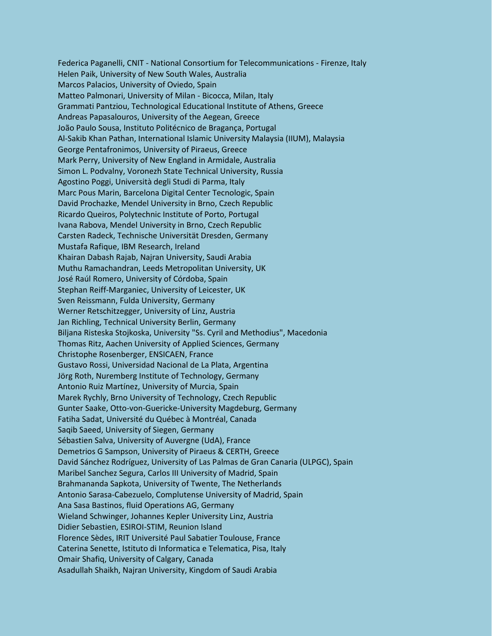Federica Paganelli, CNIT - National Consortium for Telecommunications - Firenze, Italy Helen Paik, University of New South Wales, Australia Marcos Palacios, University of Oviedo, Spain Matteo Palmonari, University of Milan - Bicocca, Milan, Italy Grammati Pantziou, Technological Educational Institute of Athens, Greece Andreas Papasalouros, University of the Aegean, Greece João Paulo Sousa, Instituto Politécnico de Bragança, Portugal Al-Sakib Khan Pathan, International Islamic University Malaysia (IIUM), Malaysia George Pentafronimos, University of Piraeus, Greece Mark Perry, University of New England in Armidale, Australia Simon L. Podvalny, Voronezh State Technical University, Russia Agostino Poggi, Università degli Studi di Parma, Italy Marc Pous Marin, Barcelona Digital Center Tecnologic, Spain David Prochazke, Mendel University in Brno, Czech Republic Ricardo Queiros, Polytechnic Institute of Porto, Portugal Ivana Rabova, Mendel University in Brno, Czech Republic Carsten Radeck, Technische Universität Dresden, Germany Mustafa Rafique, IBM Research, Ireland Khairan Dabash Rajab, Najran University, Saudi Arabia Muthu Ramachandran, Leeds Metropolitan University, UK José Raúl Romero, University of Córdoba, Spain Stephan Reiff-Marganiec, University of Leicester, UK Sven Reissmann, Fulda University, Germany Werner Retschitzegger, University of Linz, Austria Jan Richling, Technical University Berlin, Germany Biljana Risteska Stojkoska, University "Ss. Cyril and Methodius", Macedonia Thomas Ritz, Aachen University of Applied Sciences, Germany Christophe Rosenberger, ENSICAEN, France Gustavo Rossi, Universidad Nacional de La Plata, Argentina Jörg Roth, Nuremberg Institute of Technology, Germany Antonio Ruiz Martínez, University of Murcia, Spain Marek Rychly, Brno University of Technology, Czech Republic Gunter Saake, Otto-von-Guericke-University Magdeburg, Germany Fatiha Sadat, Université du Québec à Montréal, Canada Saqib Saeed, University of Siegen, Germany Sébastien Salva, University of Auvergne (UdA), France Demetrios G Sampson, University of Piraeus & CERTH, Greece David Sánchez Rodríguez, University of Las Palmas de Gran Canaria (ULPGC), Spain Maribel Sanchez Segura, Carlos III University of Madrid, Spain Brahmananda Sapkota, University of Twente, The Netherlands Antonio Sarasa-Cabezuelo, Complutense University of Madrid, Spain Ana Sasa Bastinos, fluid Operations AG, Germany Wieland Schwinger, Johannes Kepler University Linz, Austria Didier Sebastien, ESIROI-STIM, Reunion Island Florence Sèdes, IRIT Université Paul Sabatier Toulouse, France Caterina Senette, Istituto di Informatica e Telematica, Pisa, Italy Omair Shafiq, University of Calgary, Canada Asadullah Shaikh, Najran University, Kingdom of Saudi Arabia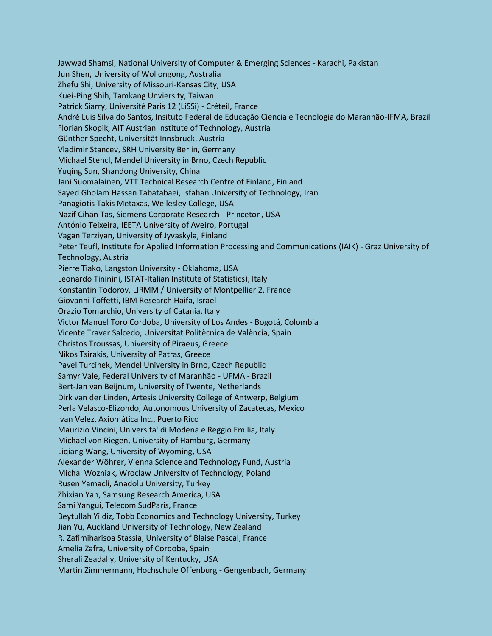Jawwad Shamsi, National University of Computer & Emerging Sciences - Karachi, Pakistan Jun Shen, University of Wollongong, Australia Zhefu Shi, University of Missouri-Kansas City, USA Kuei-Ping Shih, Tamkang Unviersity, Taiwan Patrick Siarry, Université Paris 12 (LiSSi) - Créteil, France André Luis Silva do Santos, Insituto Federal de Educação Ciencia e Tecnologia do Maranhão-IFMA, Brazil Florian Skopik, AIT Austrian Institute of Technology, Austria Günther Specht, Universität Innsbruck, Austria Vladimir Stancev, SRH University Berlin, Germany Michael Stencl, Mendel University in Brno, Czech Republic Yuqing Sun, Shandong University, China Jani Suomalainen, VTT Technical Research Centre of Finland, Finland Sayed Gholam Hassan Tabatabaei, Isfahan University of Technology, Iran Panagiotis Takis Metaxas, Wellesley College, USA Nazif Cihan Tas, Siemens Corporate Research - Princeton, USA António Teixeira, IEETA University of Aveiro, Portugal Vagan Terziyan, University of Jyvaskyla, Finland Peter Teufl, Institute for Applied Information Processing and Communications (IAIK) - Graz University of Technology, Austria Pierre Tiako, Langston University - Oklahoma, USA Leonardo Tininini, ISTAT-Italian Institute of Statistics), Italy Konstantin Todorov, LIRMM / University of Montpellier 2, France Giovanni Toffetti, IBM Research Haifa, Israel Orazio Tomarchio, University of Catania, Italy Victor Manuel Toro Cordoba, University of Los Andes - Bogotá, Colombia Vicente Traver Salcedo, Universitat Politècnica de València, Spain Christos Troussas, University of Piraeus, Greece Nikos Tsirakis, University of Patras, Greece Pavel Turcinek, Mendel University in Brno, Czech Republic Samyr Vale, Federal University of Maranhão - UFMA - Brazil Bert-Jan van Beijnum, University of Twente, Netherlands Dirk van der Linden, Artesis University College of Antwerp, Belgium Perla Velasco-Elizondo, Autonomous University of Zacatecas, Mexico Ivan Velez, Axiomática Inc., Puerto Rico Maurizio Vincini, Universita' di Modena e Reggio Emilia, Italy Michael von Riegen, University of Hamburg, Germany Liqiang Wang, University of Wyoming, USA Alexander Wöhrer, Vienna Science and Technology Fund, Austria Michal Wozniak, Wroclaw University of Technology, Poland Rusen Yamacli, Anadolu University, Turkey Zhixian Yan, Samsung Research America, USA Sami Yangui, Telecom SudParis, France Beytullah Yildiz, Tobb Economics and Technology University, Turkey Jian Yu, Auckland University of Technology, New Zealand R. Zafimiharisoa Stassia, University of Blaise Pascal, France Amelia Zafra, University of Cordoba, Spain Sherali Zeadally, University of Kentucky, USA Martin Zimmermann, Hochschule Offenburg - Gengenbach, Germany